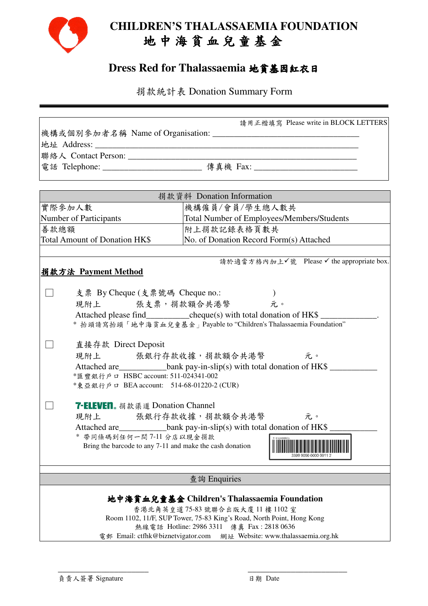

# **CHILDREN'S THALASSAEMIA FOUNDATION**  地 中 海 貧 血 兒 童 基 金

## **Dress Red for Thalassaemia** 地貧基因紅衣日

捐款統計表 Donation Summary Form

|                                                                                                                                                        | 請用正楷填寫 Please write in BLOCK LETTERS                                                                                                                                                                                                                                             |  |  |
|--------------------------------------------------------------------------------------------------------------------------------------------------------|----------------------------------------------------------------------------------------------------------------------------------------------------------------------------------------------------------------------------------------------------------------------------------|--|--|
|                                                                                                                                                        |                                                                                                                                                                                                                                                                                  |  |  |
|                                                                                                                                                        | 電話 Telephone: ___________________________ 傳真機 Fax: _____________________________                                                                                                                                                                                                 |  |  |
|                                                                                                                                                        |                                                                                                                                                                                                                                                                                  |  |  |
|                                                                                                                                                        |                                                                                                                                                                                                                                                                                  |  |  |
| 捐款資料 Donation Information                                                                                                                              |                                                                                                                                                                                                                                                                                  |  |  |
| 實際參加人數                                                                                                                                                 | 機構僱員/會員/學生總人數共                                                                                                                                                                                                                                                                   |  |  |
| Number of Participants                                                                                                                                 | Total Number of Employees/Members/Students                                                                                                                                                                                                                                       |  |  |
| 善款總額                                                                                                                                                   | 附上捐款記錄表格頁數共                                                                                                                                                                                                                                                                      |  |  |
| Total Amount of Donation HK\$                                                                                                                          | No. of Donation Record Form(s) Attached                                                                                                                                                                                                                                          |  |  |
| 請於適當方格內加上√號 Please √ the appropriate box.<br>捐款方法 Payment Method                                                                                       |                                                                                                                                                                                                                                                                                  |  |  |
| 支票 By Cheque (支票號碼 Cheque no.:<br>現附上 張支票, 捐款額合共港幣<br>直接存款 Direct Deposit                                                                              | 元。<br>Attached please find_____________cheque(s) with total donation of HK\$ __________<br>* 抬頭請寫抬頭「地中海貧血兒童基金」Payable to "Children's Thalassaemia Foundation"                                                                                                                    |  |  |
| *匯豐銀行戶口 HSBC account: 511-024341-002<br>*東亞銀行戶口 BEA account: 514-68-01220-2 (CUR)                                                                      | 現附上 張銀行存款收據,捐款額合共港幣 元。<br>Attached are ______________________bank pay-in-slip(s) with total donation of HK\$ _____                                                                                                                                                               |  |  |
| <b>7-ELEVEN</b> 。 捐款渠道 Donation Channel<br>現附上 張銀行存款收據,捐款額合共港幣<br>* 帶同條碼到任何一間 7-11 分店以現金捐款<br>Bring the barcode to any 7-11 and make the cash donation | 元。<br>Attached are_______________bank pay-in-slip(s) with total donation of HK\$ _______                                                                                                                                                                                         |  |  |
| 查詢 Enquiries                                                                                                                                           |                                                                                                                                                                                                                                                                                  |  |  |
|                                                                                                                                                        | 地中海貧血兒童基金 Children's Thalassaemia Foundation<br>香港北角英皇道 75-83 號聯合出版大廈 11 樓 1102 室<br>Room 1102, 11/F, SUP Tower, 75-83 King's Road, North Point, Hong Kong<br>熱線電話 Hotline: 2986 3311 傳真 Fax: 2818 0636<br>電郵 Email: ctfhk@biznetvigator.com 網址 Website: www.thalassaemia.org.hk |  |  |

 $\overline{\phantom{a}}$  ,  $\overline{\phantom{a}}$  ,  $\overline{\phantom{a}}$  ,  $\overline{\phantom{a}}$  ,  $\overline{\phantom{a}}$  ,  $\overline{\phantom{a}}$  ,  $\overline{\phantom{a}}$  ,  $\overline{\phantom{a}}$  ,  $\overline{\phantom{a}}$  ,  $\overline{\phantom{a}}$  ,  $\overline{\phantom{a}}$  ,  $\overline{\phantom{a}}$  ,  $\overline{\phantom{a}}$  ,  $\overline{\phantom{a}}$  ,  $\overline{\phantom{a}}$  ,  $\overline{\phantom{a}}$